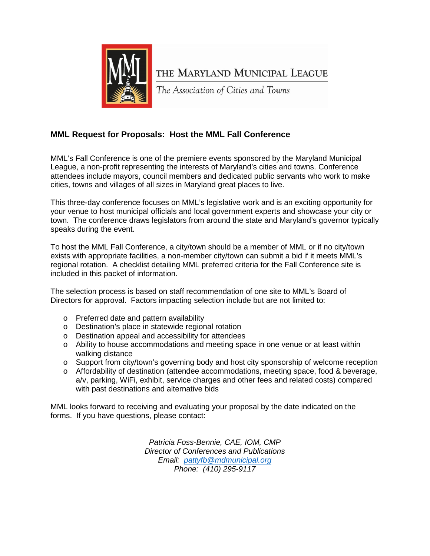

THE MARYLAND MUNICIPAL LEAGUE

The Association of Cities and Towns

## **MML Request for Proposals: Host the MML Fall Conference**

MML's Fall Conference is one of the premiere events sponsored by the Maryland Municipal League, a non-profit representing the interests of Maryland's cities and towns. Conference attendees include mayors, council members and dedicated public servants who work to make cities, towns and villages of all sizes in Maryland great places to live.

This three-day conference focuses on MML's legislative work and is an exciting opportunity for your venue to host municipal officials and local government experts and showcase your city or town. The conference draws legislators from around the state and Maryland's governor typically speaks during the event.

To host the MML Fall Conference, a city/town should be a member of MML or if no city/town exists with appropriate facilities, a non-member city/town can submit a bid if it meets MML's regional rotation. A checklist detailing MML preferred criteria for the Fall Conference site is included in this packet of information.

The selection process is based on staff recommendation of one site to MML's Board of Directors for approval. Factors impacting selection include but are not limited to:

- o Preferred date and pattern availability
- o Destination's place in statewide regional rotation
- o Destination appeal and accessibility for attendees
- $\circ$  Ability to house accommodations and meeting space in one venue or at least within walking distance
- $\circ$  Support from city/town's governing body and host city sponsorship of welcome reception
- o Affordability of destination (attendee accommodations, meeting space, food & beverage, a/v, parking, WiFi, exhibit, service charges and other fees and related costs) compared with past destinations and alternative bids

MML looks forward to receiving and evaluating your proposal by the date indicated on the forms. If you have questions, please contact:

> *Patricia Foss-Bennie, CAE, IOM, CMP Director of Conferences and Publications Email: [pattyfb@mdmunicipal.org](mailto:pattyfb@mdmunicipal.org) Phone: (410) 295-9117*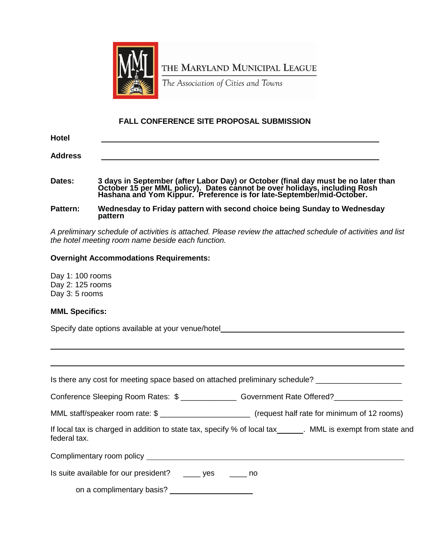

THE MARYLAND MUNICIPAL LEAGUE

The Association of Cities and Towns

## **FALL CONFERENCE SITE PROPOSAL SUBMISSION**

| <b>Hotel</b>   |                                                                                                                                                                                                                                      |
|----------------|--------------------------------------------------------------------------------------------------------------------------------------------------------------------------------------------------------------------------------------|
| <b>Address</b> |                                                                                                                                                                                                                                      |
| Dates:         | 3 days in September (after Labor Day) or October (final day must be no later than<br>October 15 per MML policy). Dates cannot be over holidays, including Rosh Hashana and Yom Kippur. Preference is for late-September/mid-October. |

**Pattern: Wednesday to Friday pattern with second choice being Sunday to Wednesday pattern**

*A preliminary schedule of activities is attached. Please review the attached schedule of activities and list the hotel meeting room name beside each function.*

## **Overnight Accommodations Requirements:**

Day 1: 100 rooms Day 2: 125 rooms Day 3: 5 rooms

## **MML Specifics:**

Specify date options available at your venue/hotel\_\_\_\_\_\_\_\_\_\_\_\_\_\_\_\_\_\_\_\_\_\_\_\_\_\_\_\_\_\_

| Is there any cost for meeting space based on attached preliminary schedule?                                                   |  |
|-------------------------------------------------------------------------------------------------------------------------------|--|
| Conference Sleeping Room Rates: \$ _________________ Government Rate Offered? ______________________                          |  |
| MML staff/speaker room rate: \$ ______________________________ (request half rate for minimum of 12 rooms)                    |  |
| If local tax is charged in addition to state tax, specify % of local tax_______. MML is exempt from state and<br>federal tax. |  |
|                                                                                                                               |  |
| Is suite available for our president? _____ yes _____ no                                                                      |  |

on a complimentary basis?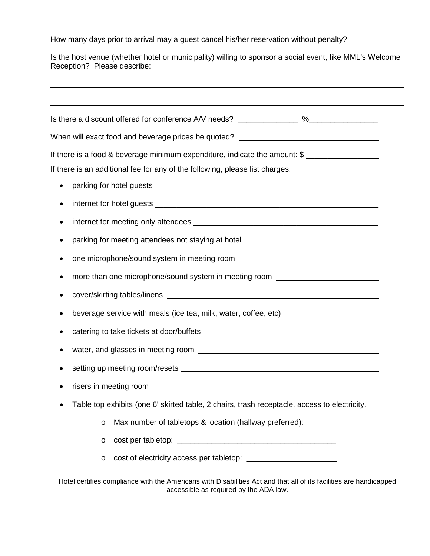How many days prior to arrival may a guest cancel his/her reservation without penalty? \_\_\_\_\_\_

Is the host venue (whether hotel or municipality) willing to sponsor a social event, like MML's Welcome Reception? Please describe:

|           | Is there a discount offered for conference A/V needs? _______________ %________________                                                                                                                                              |
|-----------|--------------------------------------------------------------------------------------------------------------------------------------------------------------------------------------------------------------------------------------|
|           | When will exact food and beverage prices be quoted? ____________________________                                                                                                                                                     |
|           | If there is a food & beverage minimum expenditure, indicate the amount: \$                                                                                                                                                           |
|           | If there is an additional fee for any of the following, please list charges:                                                                                                                                                         |
| $\bullet$ |                                                                                                                                                                                                                                      |
| ٠         |                                                                                                                                                                                                                                      |
| ٠         |                                                                                                                                                                                                                                      |
|           | parking for meeting attendees not staying at hotel <b>with a state of the state of the state of the state of the state of the state of the state of the state of the state of the state of the state of the state of the state o</b> |
|           |                                                                                                                                                                                                                                      |
| ٠         | more than one microphone/sound system in meeting room <b>with the manufacture of the manufacture of the manufacture of the manufacture of the manufacture of the manufacture of the manufacture of the manufacture of the manufa</b> |
|           |                                                                                                                                                                                                                                      |
| ٠         | beverage service with meals (ice tea, milk, water, coffee, etc) ________________                                                                                                                                                     |
|           |                                                                                                                                                                                                                                      |
|           |                                                                                                                                                                                                                                      |
|           |                                                                                                                                                                                                                                      |
|           |                                                                                                                                                                                                                                      |
|           | Table top exhibits (one 6' skirted table, 2 chairs, trash receptacle, access to electricity.                                                                                                                                         |
|           | Max number of tabletops & location (hallway preferred):<br>O                                                                                                                                                                         |
|           | O                                                                                                                                                                                                                                    |
|           | O                                                                                                                                                                                                                                    |

Hotel certifies compliance with the Americans with Disabilities Act and that all of its facilities are handicapped accessible as required by the ADA law.